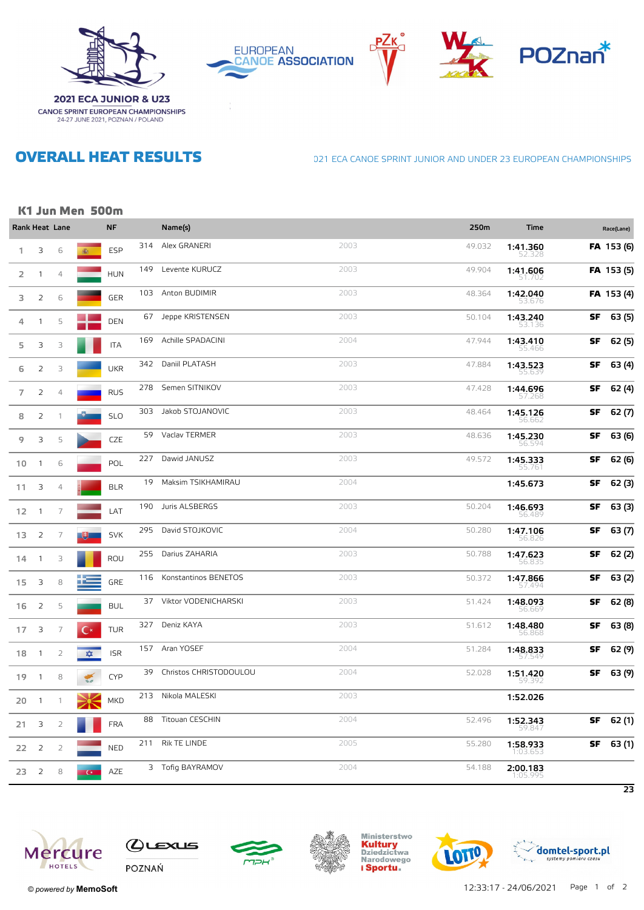

**2021 ECA JUNIOR & U23 CANOE SPRINT EUROPEAN CHAMPIONSHIPS**<br>24-27 JUNE 2021, POZNAN / POLAND









# **OVERALL HEAT RESULTS**

### 021 ECA CANOE SPRINT JUNIOR AND UNDER 23 EUROPEAN CHAMPIONSHIPS

## K1 Jun Men 500m

|                 |                | Rank Heat Lane |               | <b>NF</b>   |     | Name(s)                |      | 250m   | <b>Time</b>          |    | Race(Lane)      |
|-----------------|----------------|----------------|---------------|-------------|-----|------------------------|------|--------|----------------------|----|-----------------|
| 1.              | 3              | 6              | 癫             | <b>ESP</b>  | 314 | Alex GRANERI           | 2003 | 49.032 | 1:41.360<br>52.328   |    | FA 153 (6)      |
| $\overline{2}$  | 1              | $\overline{4}$ |               | <b>HUN</b>  | 149 | Levente KURUCZ         | 2003 | 49.904 | 1:41.606<br>51.702   |    | FA 153 (5)      |
| 3               | 2              | 6              |               | GER         | 103 | Anton BUDIMIR          | 2003 | 48.364 | 1:42.040<br>53.676   |    | FA 153 (4)      |
| 4               | 1              | 5              |               | <b>DEN</b>  | 67  | Jeppe KRISTENSEN       | 2003 | 50.104 | 1:43.240<br>53.136   | SF | 63(5)           |
| 5               | 3              | 3              |               | <b>ITA</b>  | 169 | Achille SPADACINI      | 2004 | 47.944 | 1:43.410<br>55.466   | SF | 62(5)           |
| 6               | 2              | 3              |               | <b>UKR</b>  | 342 | Daniil PLATASH         | 2003 | 47.884 | 1:43.523<br>55.639   | SF | 63 (4)          |
| $\overline{7}$  | 2              | $\overline{4}$ |               | <b>RUS</b>  | 278 | Semen SITNIKOV         | 2003 | 47.428 | 1:44.696<br>57.268   | SF | 62(4)           |
| 8               | 2              | 1              |               | <b>SLO</b>  | 303 | Jakob STOJANOVIC       | 2003 | 48.464 | 1:45.126<br>56.66.   | SF | 62(7)           |
| 9               | 3              | 5              |               | <b>CZE</b>  | 59  | Vaclav TERMER          | 2003 | 48.636 | 1:45.230<br>56.594   | SF | 63 (6)          |
| 10              | $\overline{1}$ | 6              |               | POL         | 227 | Dawid JANUSZ           | 2003 | 49.572 | 1:45.333<br>55.761   | SF | 62(6)           |
| 11              | 3              | $\overline{4}$ |               | <b>BLR</b>  | 19  | Maksim TSIKHAMIRAU     | 2004 |        | 1:45.673             | SF | 62(3)           |
| 12              | -1             | 7              |               | LAT         | 190 | Juris ALSBERGS         | 2003 | 50.204 | 1:46.693<br>56.489   | SF | 63(3)           |
| 13              | 2              | 7              |               | <b>SVK</b>  | 295 | David STOJKOVIC        | 2004 | 50.280 | 1:47.106<br>56.826   | SF | 63 (7)          |
| 14              | $\overline{1}$ | 3              |               | <b>ROU</b>  | 255 | Darius ZAHARIA         | 2003 | 50.788 | 1:47.623<br>56.835   | SF | 62(2)           |
| 15              | 3              | 8              | 日本            | GRE         | 116 | Konstantinos BENETOS   | 2003 | 50.372 | 1:47.866<br>57.494   | SF | 63(2)           |
| 16              | 2              | 5              |               | <b>BUL</b>  | 37  | Viktor VODENICHARSKI   | 2003 | 51.424 | 1:48.093<br>56.669   | SF | 62(8)           |
| 17              | 3              | 7              | C *           | <b>TUR</b>  | 327 | Deniz KAYA             | 2003 | 51.612 | 1:48.480<br>56.868   | SF | 63 (8)          |
| 18              | $\overline{1}$ | $\overline{2}$ | $\frac{1}{2}$ | <b>ISR</b>  | 157 | Aran YOSEF             | 2004 | 51.284 | 1:48.833<br>57.549   | SF | 62 (9)          |
| 19              | $\overline{1}$ | 8              | $\frac{1}{2}$ | <b>CYP</b>  | 39  | Christos CHRISTODOULOU | 2004 | 52.028 | 1:51.420<br>59.392   | SF | 63 (9)          |
| 20              | $\overline{1}$ | $\overline{1}$ | ⋛⋛            | <b>MKD</b>  |     | 213 Nikola MALESKI     | 2003 |        | 1:52.026             |    |                 |
| $21 \quad 3$    |                | $\overline{2}$ |               | <b>FRA</b>  |     | 88 Titouan CESCHIN     | 2004 | 52.496 | 1:52.343<br>59.847   | SF | 62(1)           |
| 22 <sub>2</sub> |                | $\overline{2}$ |               | NED         | 211 | Rik TE LINDE           | 2005 | 55.280 | 1:58.933<br>1:03.653 | SF | 63(1)           |
| 23 <sub>2</sub> |                | 8              | <b>C</b>      | ${\sf AZE}$ |     | 3 Tofig BAYRAMOV       | 2004 | 54.188 | 2:00.183<br>1:05.995 |    |                 |
|                 |                |                |               |             |     |                        |      |        |                      |    | $\overline{23}$ |









Ministerstwo<br>**Kultury**<br>Dziedzictwa<br>Narodowego<br>L**Enortu** i Sportu.